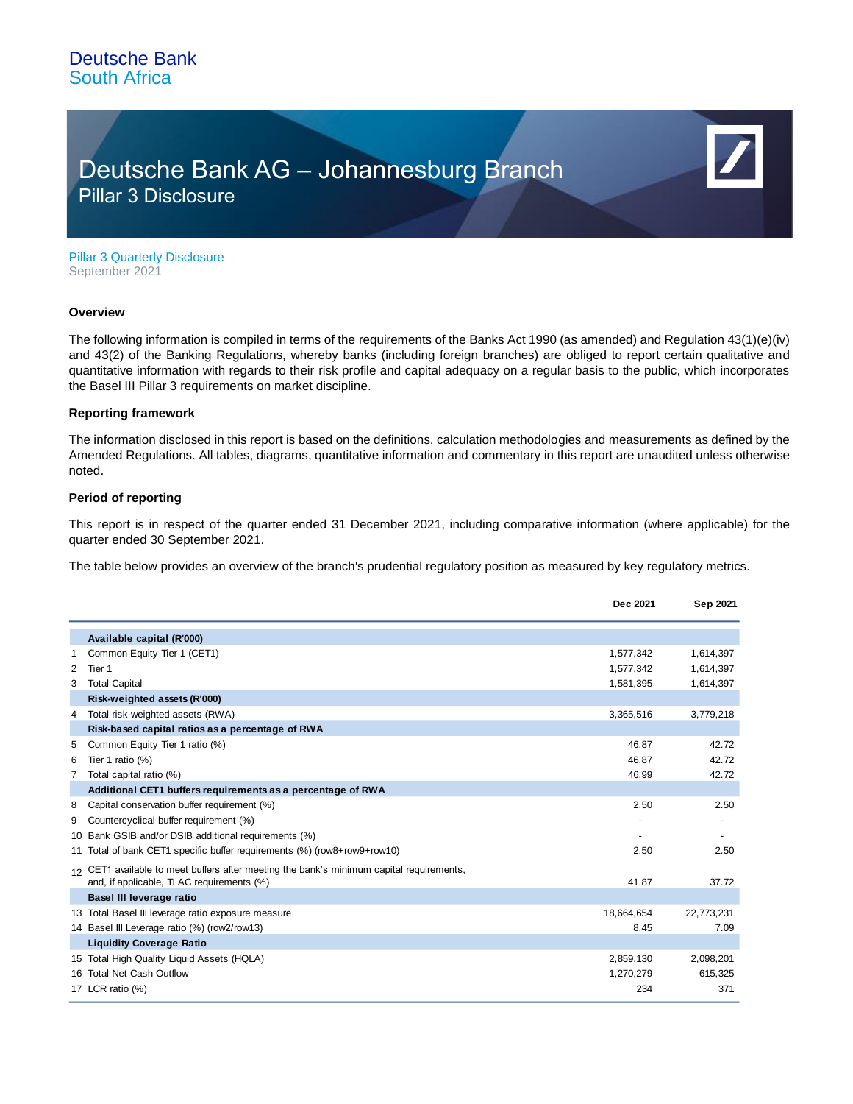## Deutsche Bank AG – Johannesburg Branch Pillar 3 Disclosure

Pillar 3 Quarterly Disclosure September 2021

#### **Overview**

The following information is compiled in terms of the requirements of the Banks Act 1990 (as amended) and Regulation 43(1)(e)(iv) and 43(2) of the Banking Regulations, whereby banks (including foreign branches) are obliged to report certain qualitative and quantitative information with regards to their risk profile and capital adequacy on a regular basis to the public, which incorporates the Basel III Pillar 3 requirements on market discipline.

#### **Reporting framework**

The information disclosed in this report is based on the definitions, calculation methodologies and measurements as defined by the Amended Regulations. All tables, diagrams, quantitative information and commentary in this report are unaudited unless otherwise noted.

### **Period of reporting**

This report is in respect of the quarter ended 31 December 2021, including comparative information (where applicable) for the quarter ended 30 September 2021.

The table below provides an overview of the branch's prudential regulatory position as measured by key regulatory metrics.

|   |                                                                                                                                       | Dec 2021   | Sep 2021   |
|---|---------------------------------------------------------------------------------------------------------------------------------------|------------|------------|
|   | Available capital (R'000)                                                                                                             |            |            |
|   | Common Equity Tier 1 (CET1)                                                                                                           | 1,577,342  | 1,614,397  |
| 2 | Tier 1                                                                                                                                | 1,577,342  | 1,614,397  |
| 3 | <b>Total Capital</b>                                                                                                                  | 1,581,395  | 1,614,397  |
|   | Risk-weighted assets (R'000)                                                                                                          |            |            |
| 4 | Total risk-weighted assets (RWA)                                                                                                      | 3,365,516  | 3,779,218  |
|   | Risk-based capital ratios as a percentage of RWA                                                                                      |            |            |
| 5 | Common Equity Tier 1 ratio (%)                                                                                                        | 46.87      | 42.72      |
| 6 | Tier 1 ratio $(\%)$                                                                                                                   | 46.87      | 42.72      |
| 7 | Total capital ratio (%)                                                                                                               | 46.99      | 42.72      |
|   | Additional CET1 buffers requirements as a percentage of RWA                                                                           |            |            |
| 8 | Capital conservation buffer requirement (%)                                                                                           | 2.50       | 2.50       |
| 9 | Countercyclical buffer requirement (%)                                                                                                |            |            |
|   | 10 Bank GSIB and/or DSIB additional requirements (%)                                                                                  |            |            |
|   | 11 Total of bank CET1 specific buffer requirements (%) (row8+row9+row10)                                                              | 2.50       | 2.50       |
|   | 12 CET1 available to meet buffers after meeting the bank's minimum capital requirements,<br>and, if applicable, TLAC requirements (%) | 41.87      | 37.72      |
|   | Basel III leverage ratio                                                                                                              |            |            |
|   | 13 Total Basel III leverage ratio exposure measure                                                                                    | 18,664,654 | 22,773,231 |
|   | 14 Basel III Leverage ratio (%) (row2/row13)                                                                                          | 8.45       | 7.09       |
|   | <b>Liquidity Coverage Ratio</b>                                                                                                       |            |            |
|   | 15 Total High Quality Liguid Assets (HQLA)                                                                                            | 2,859,130  | 2,098,201  |
|   | 16 Total Net Cash Outflow                                                                                                             | 1,270,279  | 615,325    |
|   | 17 LCR ratio (%)                                                                                                                      | 234        | 371        |